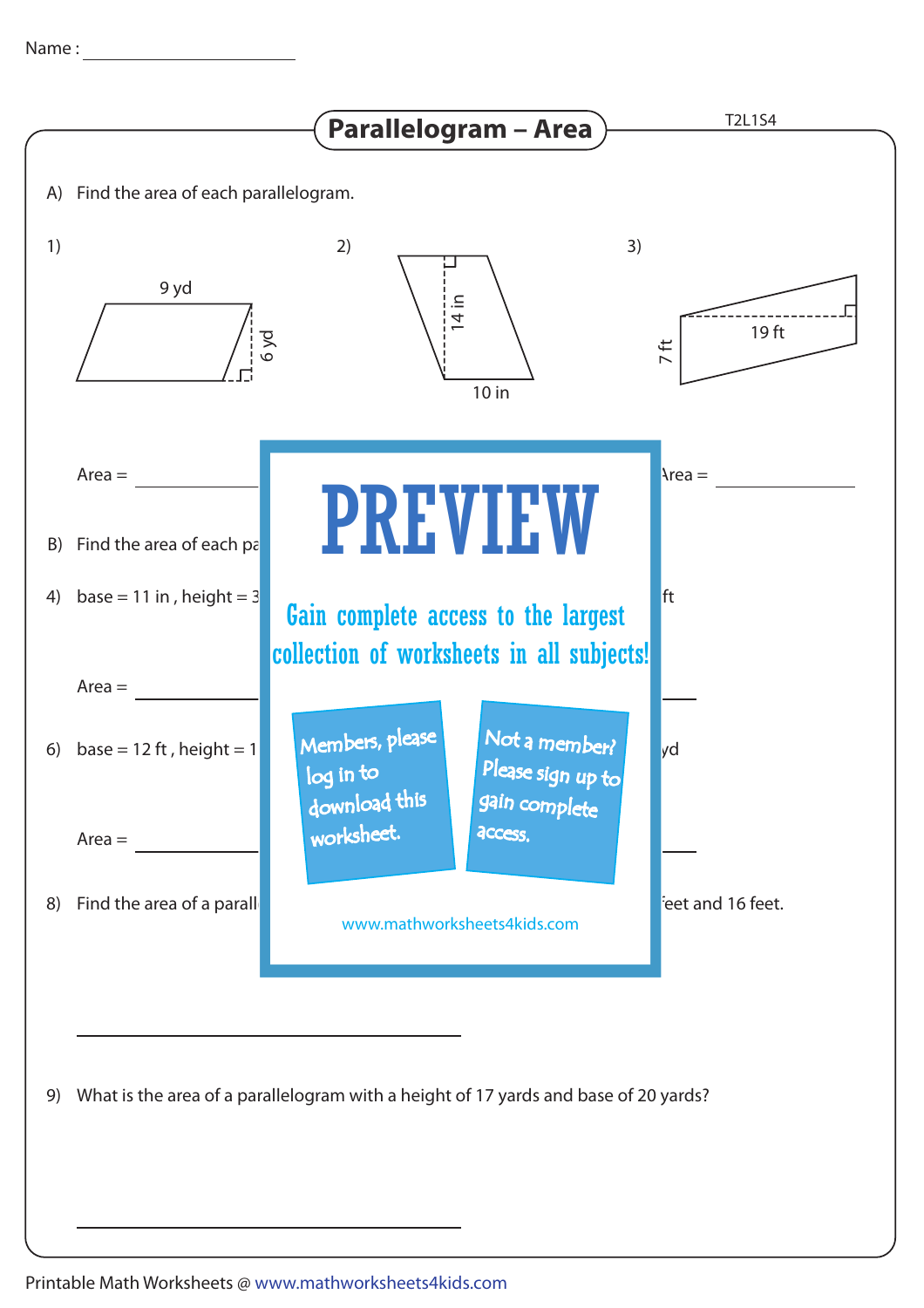